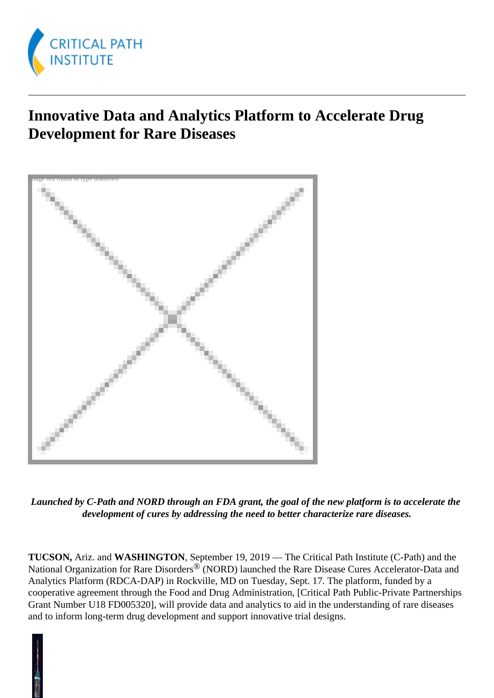

## **Innovative Data and Analytics Platform to Accelerate Drug Development for Rare Diseases**



*Launched by C-Path and NORD through an FDA grant, the goal of the new platform is to accelerate the development of cures by addressing the need to better characterize rare diseases.*

**TUCSON,** Ariz. and **WASHINGTON**, September 19, 2019 — The Critical Path Institute (C-Path) and the National Organization for Rare Disorders<sup>®</sup> (NORD) launched the Rare Disease Cures Accelerator-Data and Analytics Platform (RDCA-DAP) in Rockville, MD on Tuesday, Sept. 17. The platform, funded by a cooperative agreement through the Food and Drug Administration, [Critical Path Public-Private Partnerships Grant Number U18 FD005320], will provide data and analytics to aid in the understanding of rare diseases and to inform long-term drug development and support innovative trial designs.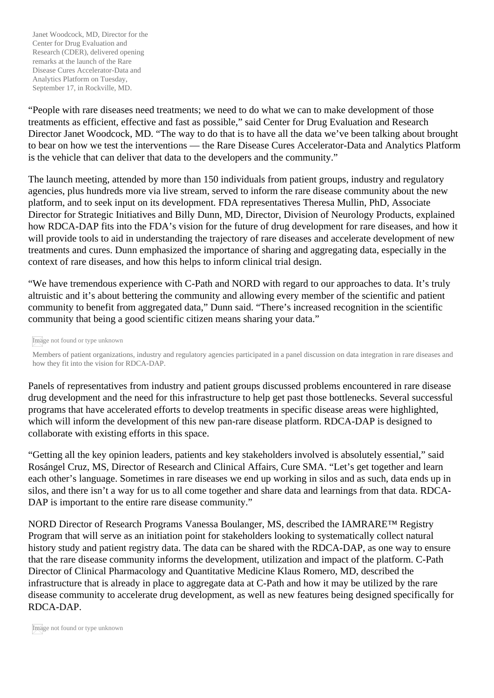"People with rare diseases need treatments; we need to do what we can to make development of those treatments as efficient, effective and fast as possible," said Center for Drug Evaluation and Research Director Janet Woodcock, MD. "The way to do that is to have all the data we've been talking about brought to bear on how we test the interventions — the Rare Disease Cures Accelerator-Data and Analytics Platform is the vehicle that can deliver that data to the developers and the community."

The launch meeting, attended by more than 150 individuals from patient groups, industry and regulatory agencies, plus hundreds more via live stream, served to inform the rare disease community about the new platform, and to seek input on its development. FDA representatives Theresa Mullin, PhD, Associate Director for Strategic Initiatives and Billy Dunn, MD, Director, Division of Neurology Products, explained how RDCA-DAP fits into the FDA's vision for the future of drug development for rare diseases, and how it will provide tools to aid in understanding the trajectory of rare diseases and accelerate development of new treatments and cures. Dunn emphasized the importance of sharing and aggregating data, especially in the context of rare diseases, and how this helps to inform clinical trial design.

"We have tremendous experience with C-Path and NORD with regard to our approaches to data. It's truly altruistic and it's about bettering the community and allowing every member of the scientific and patient community to benefit from aggregated data," Dunn said. "There's increased recognition in the scientific community that being a good scientific citizen means sharing your data."

Image not found or type unknown

Members of patient organizations, industry and regulatory agencies participated in a panel discussion on data integration in rare diseases and how they fit into the vision for RDCA-DAP.

Panels of representatives from industry and patient groups discussed problems encountered in rare disease drug development and the need for this infrastructure to help get past those bottlenecks. Several successful programs that have accelerated efforts to develop treatments in specific disease areas were highlighted, which will inform the development of this new pan-rare disease platform. RDCA-DAP is designed to collaborate with existing efforts in this space.

"Getting all the key opinion leaders, patients and key stakeholders involved is absolutely essential," said Rosángel Cruz, MS, Director of Research and Clinical Affairs, Cure SMA. "Let's get together and learn each other's language. Sometimes in rare diseases we end up working in silos and as such, data ends up in silos, and there isn't a way for us to all come together and share data and learnings from that data. RDCA-DAP is important to the entire rare disease community."

NORD Director of Research Programs Vanessa Boulanger, MS, described the IAMRARE™ Registry Program that will serve as an initiation point for stakeholders looking to systematically collect natural history study and patient registry data. The data can be shared with the RDCA-DAP, as one way to ensure that the rare disease community informs the development, utilization and impact of the platform. C-Path Director of Clinical Pharmacology and Quantitative Medicine Klaus Romero, MD, described the infrastructure that is already in place to aggregate data at C-Path and how it may be utilized by the rare disease community to accelerate drug development, as well as new features being designed specifically for RDCA-DAP.

Image not found or type unknown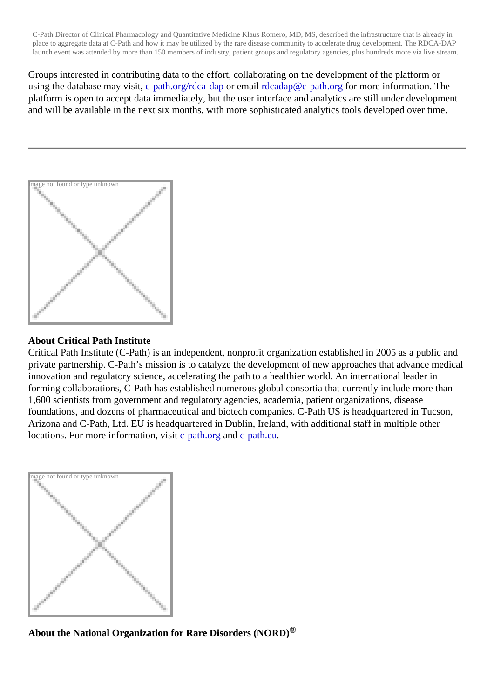C-Path Director of Clinical Pharmacology and Quantitative Medicine Klaus Romero, MD, MS, described the infrastructure that is already in place to aggregate data at C-Path and how it may be utilized by the rare disease community to accelerate drug development. The RDCA-DA launch event was attended by more than 150 members of industry, patient groups and regulatory agencies, plus hundreds more via live stre

Groups interested in contributing data to the effort, collaborating on the development of the platform or usingthe database may visitpath.org/rdca-dapr emai[l rdcadap@c-path.o](mailto:rdcadap@c-path.org?subject=RE: RDCA-DAP PR)rg r more information. The platform is open to accept data immediately, but the user interface and analytics are still under developme and will be available in the next six months, with more sophisticated analytics tools developed over time.

Image not found or type unknown

## About Critical Path Institute

Critical Path Institute (C-Path) is an independent, nonprofit organization established in 2005 as a public ar private partnership. C-Path's mission is to catalyze the development of new approaches that advance medical innovation and regulatory science, accelerating the path to a healthier world. An international leader in forming collaborations, C-Path has established numerous global consortia that currently include more than 1,600 scientists from government and regulatory agencies, academia, patient organizations, disease foundations, and dozens of pharmaceutical and biotech companies. C-Path US is headquartered in Tucso Arizona and C-Path, Ltd. EU is headquartered in Dublin, Ireland, with additional staff in multiple other locations. For more information, visitpath.org and c-path.eu

Image not found or type unknown

About the National Organization for Rare Disorders (NORD $)$ <sup>®</sup>